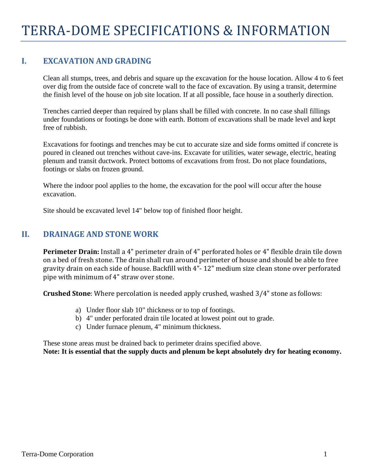# **I. EXCAVATION AND GRADING**

Clean all stumps, trees, and debris and square up the excavation for the house location. Allow 4 to 6 feet over dig from the outside face of concrete wall to the face of excavation. By using a transit, determine the finish level of the house on job site location. If at all possible, face house in a southerly direction.

Trenches carried deeper than required by plans shall be filled with concrete. In no case shall fillings under foundations or footings be done with earth. Bottom of excavations shall be made level and kept free of rubbish.

Excavations for footings and trenches may be cut to accurate size and side forms omitted if concrete is poured in cleaned out trenches without cave-ins. Excavate for utilities, water sewage, electric, heating plenum and transit ductwork. Protect bottoms of excavations from frost. Do not place foundations, footings or slabs on frozen ground.

Where the indoor pool applies to the home, the excavation for the pool will occur after the house excavation.

Site should be excavated level 14" below top of finished floor height.

# **II. DRAINAGE AND STONE WORK**

**Perimeter Drain:** Install a 4" perimeter drain of 4" perforated holes or 4" flexible drain tile down on a bed of fresh stone. The drain shall run around perimeter of house and should be able to free gravity drain on each side of house. Backfill with 4"- 12" medium size clean stone over perforated pipe with minimum of 4" straw over stone.

**Crushed Stone**: Where percolation is needed apply crushed, washed 3/4" stone as follows:

- a) Under floor slab 10" thickness or to top of footings.
- b) 4" under perforated drain tile located at lowest point out to grade.
- c) Under furnace plenum, 4" minimum thickness.

These stone areas must be drained back to perimeter drains specified above. **Note: It is essential that the supply ducts and plenum be kept absolutely dry for heating economy.**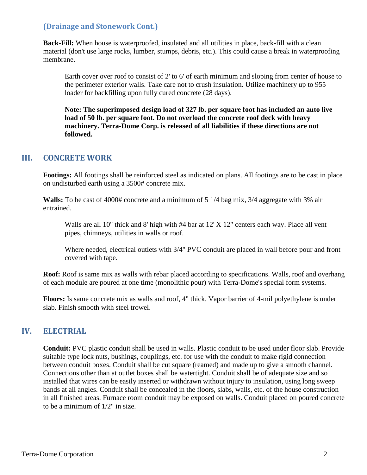#### **(Drainage and Stonework Cont.)**

**Back-Fill:** When house is waterproofed, insulated and all utilities in place, back-fill with a clean material (don't use large rocks, lumber, stumps, debris, etc.). This could cause a break in waterproofing membrane.

Earth cover over roof to consist of 2' to 6' of earth minimum and sloping from center of house to the perimeter exterior walls. Take care not to crush insulation. Utilize machinery up to 955 loader for backfilling upon fully cured concrete (28 days).

**Note: The superimposed design load of 327 lb. per square foot has included an auto live load of 50 lb. per square foot. Do not overload the concrete roof deck with heavy machinery. Terra-Dome Corp. is released of all liabilities if these directions are not followed.**

#### **III. CONCRETE WORK**

**Footings:** All footings shall be reinforced steel as indicated on plans. All footings are to be cast in place on undisturbed earth using a 3500# concrete mix.

**Walls:** To be cast of 4000# concrete and a minimum of 5 1/4 bag mix, 3/4 aggregate with 3% air entrained.

Walls are all 10" thick and 8' high with #4 bar at 12' X 12" centers each way. Place all vent pipes, chimneys, utilities in walls or roof.

Where needed, electrical outlets with 3/4" PVC conduit are placed in wall before pour and front covered with tape.

**Roof:** Roof is same mix as walls with rebar placed according to specifications. Walls, roof and overhang of each module are poured at one time (monolithic pour) with Terra-Dome's special form systems.

**Floors:** Is same concrete mix as walls and roof, 4" thick. Vapor barrier of 4-mil polyethylene is under slab. Finish smooth with steel trowel.

## **IV. ELECTRIAL**

**Conduit:** PVC plastic conduit shall be used in walls. Plastic conduit to be used under floor slab. Provide suitable type lock nuts, bushings, couplings, etc. for use with the conduit to make rigid connection between conduit boxes. Conduit shall be cut square (reamed) and made up to give a smooth channel. Connections other than at outlet boxes shall be watertight. Conduit shall be of adequate size and so installed that wires can be easily inserted or withdrawn without injury to insulation, using long sweep bands at all angles. Conduit shall be concealed in the floors, slabs, walls, etc. of the house construction in all finished areas. Furnace room conduit may be exposed on walls. Conduit placed on poured concrete to be a minimum of 1/2" in size.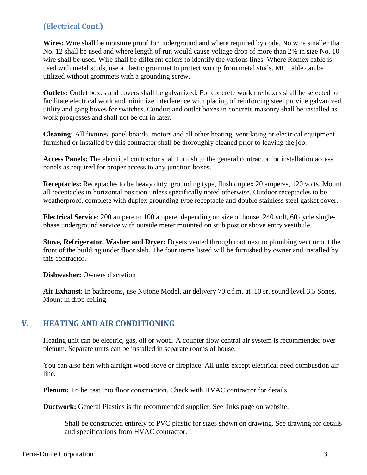# **(Electrical Cont.)**

**Wires:** Wire shall be moisture proof for underground and where required by code. No wire smaller than No. 12 shall be used and where length of run would cause voltage drop of more than 2% in size No. 10 wire shall be used. Wire shall be different colors to identify the various lines. Where Romex cable is used with metal studs, use a plastic grommet to protect wiring from metal studs. MC cable can be utilized without grommets with a grounding screw.

**Outlets:** Outlet boxes and covers shall be galvanized. For concrete work the boxes shall be selected to facilitate electrical work and minimize interference with placing of reinforcing steel provide galvanized utility and gang boxes for switches. Conduit and outlet boxes in concrete masonry shall be installed as work progresses and shall not be cut in later.

**Cleaning:** All fixtures, panel boards, motors and all other heating, ventilating or electrical equipment furnished or installed by this contractor shall be thoroughly cleaned prior to leaving the job.

**Access Panels:** The electrical contractor shall furnish to the general contractor for installation access panels as required for proper access to any junction boxes.

**Receptacles:** Receptacles to be heavy duty, grounding type, flush duplex 20 amperes, 120 volts. Mount all receptacles in horizontal position unless specifically noted otherwise. Outdoor receptacles to be weatherproof, complete with duplex grounding type receptacle and double stainless steel gasket cover.

**Electrical Service**: 200 ampere to 100 ampere, depending on size of house. 240 volt, 60 cycle singlephase underground service with outside meter mounted on stub post or above entry vestibule.

**Stove, Refrigerator, Washer and Dryer:** Dryers vented through roof next to plumbing vent or out the front of the building under floor slab. The four items listed will be furnished by owner and installed by this contractor.

**Dishwasher:** Owners discretion

**Air Exhaust:** In bathrooms, use Nutone Model, air delivery 70 c.f.m. at .10 sr, sound level 3.5 Sones. Mount in drop ceiling.

## **V. HEATING AND AIR CONDITIONING**

Heating unit can be electric, gas, oil or wood. A counter flow central air system is recommended over plenum. Separate units can be installed in separate rooms of house.

You can also heat with airtight wood stove or fireplace. All units except electrical need combustion air line.

**Plenum:** To be cast into floor construction. Check with HVAC contractor for details.

**Ductwork:** General Plastics is the recommended supplier. See links page on website.

Shall be constructed entirely of PVC plastic for sizes shown on drawing. See drawing for details and specifications from HVAC contractor.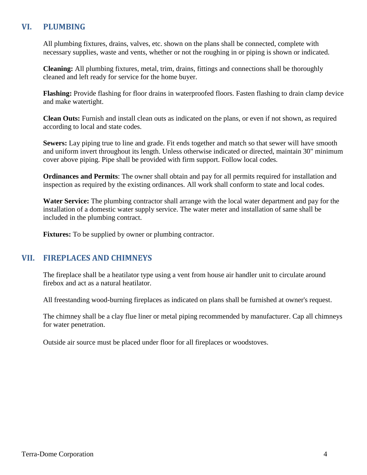#### **VI. PLUMBING**

All plumbing fixtures, drains, valves, etc. shown on the plans shall be connected, complete with necessary supplies, waste and vents, whether or not the roughing in or piping is shown or indicated.

**Cleaning:** All plumbing fixtures, metal, trim, drains, fittings and connections shall be thoroughly cleaned and left ready for service for the home buyer.

**Flashing:** Provide flashing for floor drains in waterproofed floors. Fasten flashing to drain clamp device and make watertight.

**Clean Outs:** Furnish and install clean outs as indicated on the plans, or even if not shown, as required according to local and state codes.

**Sewers:** Lay piping true to line and grade. Fit ends together and match so that sewer will have smooth and uniform invert throughout its length. Unless otherwise indicated or directed, maintain 30" minimum cover above piping. Pipe shall be provided with firm support. Follow local codes.

**Ordinances and Permits**: The owner shall obtain and pay for all permits required for installation and inspection as required by the existing ordinances. All work shall conform to state and local codes.

**Water Service:** The plumbing contractor shall arrange with the local water department and pay for the installation of a domestic water supply service. The water meter and installation of same shall be included in the plumbing contract.

**Fixtures:** To be supplied by owner or plumbing contractor.

#### **VII. FIREPLACES AND CHIMNEYS**

The fireplace shall be a heatilator type using a vent from house air handler unit to circulate around firebox and act as a natural heatilator.

All freestanding wood-burning fireplaces as indicated on plans shall be furnished at owner's request.

The chimney shall be a clay flue liner or metal piping recommended by manufacturer. Cap all chimneys for water penetration.

Outside air source must be placed under floor for all fireplaces or woodstoves.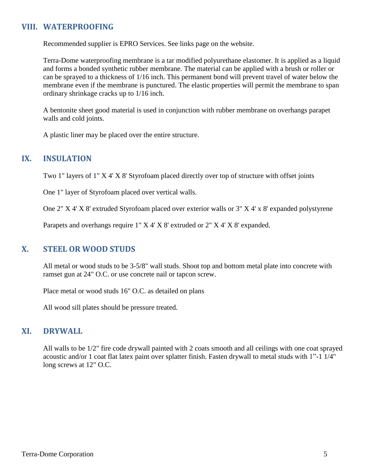#### **VIII. WATERPROOFING**

Recommended supplier is EPRO Services. See links page on the website.

Terra-Dome waterproofing membrane is a tar modified polyurethane elastomer. It is applied as a liquid and forms a bonded synthetic rubber membrane. The material can be applied with a brush or roller or can be sprayed to a thickness of 1/16 inch. This permanent bond will prevent travel of water below the membrane even if the membrane is punctured. The elastic properties will permit the membrane to span ordinary shrinkage cracks up to 1/16 inch.

A bentonite sheet good material is used in conjunction with rubber membrane on overhangs parapet walls and cold joints.

A plastic liner may be placed over the entire structure.

#### **IX. INSULATION**

Two 1" layers of 1" X 4' X 8' Styrofoam placed directly over top of structure with offset joints

One 1" layer of Styrofoam placed over vertical walls.

One 2" X 4' X 8' extruded Styrofoam placed over exterior walls or 3" X 4' x 8' expanded polystyrene

Parapets and overhangs require 1" X 4' X 8' extruded or 2" X 4' X 8' expanded.

#### **X. STEEL OR WOOD STUDS**

All metal or wood studs to be 3-5/8" wall studs. Shoot top and bottom metal plate into concrete with ramset gun at 24" O.C. or use concrete nail or tapcon screw.

Place metal or wood studs 16" O.C. as detailed on plans

All wood sill plates should be pressure treated.

#### **XI. DRYWALL**

All walls to be 1/2" fire code drywall painted with 2 coats smooth and all ceilings with one coat sprayed acoustic and/or 1 coat flat latex paint over splatter finish. Fasten drywall to metal studs with 1"-1 1/4" long screws at 12" O.C.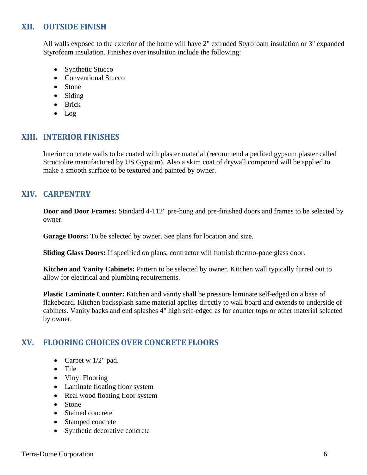# **XII. OUTSIDE FINISH**

All walls exposed to the exterior of the home will have 2" extruded Styrofoam insulation or 3" expanded Styrofoam insulation. Finishes over insulation include the following:

- Synthetic Stucco
- Conventional Stucco
- Stone
- Siding
- Brick
- Log

#### **XIII. INTERIOR FINISHES**

Interior concrete walls to be coated with plaster material (recommend a perlited gypsum plaster called Structolite manufactured by US Gypsum). Also a skim coat of drywall compound will be applied to make a smooth surface to be textured and painted by owner.

#### **XIV. CARPENTRY**

**Door and Door Frames:** Standard 4-112" pre-hung and pre-finished doors and frames to be selected by owner.

**Garage Doors:** To be selected by owner. See plans for location and size.

**Sliding Glass Doors:** If specified on plans, contractor will furnish thermo-pane glass door.

**Kitchen and Vanity Cabinets:** Pattern to be selected by owner. Kitchen wall typically furred out to allow for electrical and plumbing requirements.

**Plastic Laminate Counter:** Kitchen and vanity shall be pressure laminate self-edged on a base of flakeboard. Kitchen backsplash same material applies directly to wall board and extends to underside of cabinets. Vanity backs and end splashes 4" high self-edged as for counter tops or other material selected by owner.

#### **XV. FLOORING CHOICES OVER CONCRETE FLOORS**

- Carpet w  $1/2$ " pad.
- Tile
- Vinyl Flooring
- Laminate floating floor system
- Real wood floating floor system
- Stone
- Stained concrete
- Stamped concrete
- Synthetic decorative concrete